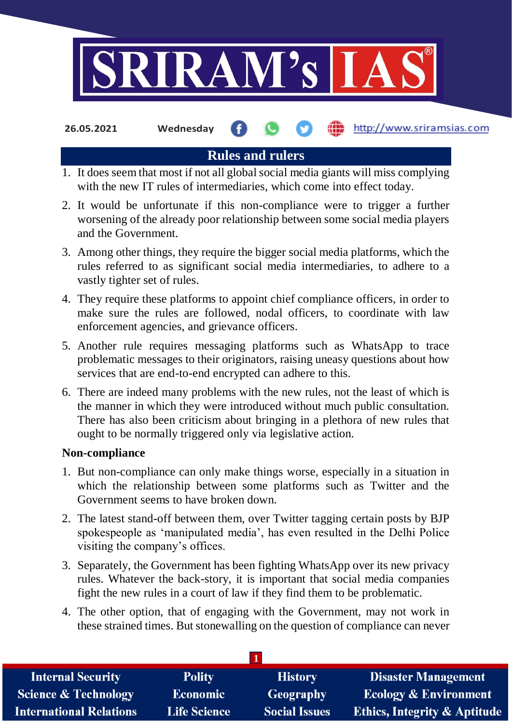

**26.05.2021 Wednesday**

http://www.sriramsias.com

# **Rules and rulers**

- 1. It does seem that most if not all global social media giants will miss complying with the new IT rules of intermediaries, which come into effect today.
- 2. It would be unfortunate if this non-compliance were to trigger a further worsening of the already poor relationship between some social media players and the Government.
- 3. Among other things, they require the bigger social media platforms, which the rules referred to as significant social media intermediaries, to adhere to a vastly tighter set of rules.
- 4. They require these platforms to appoint chief compliance officers, in order to make sure the rules are followed, nodal officers, to coordinate with law enforcement agencies, and grievance officers.
- 5. Another rule requires messaging platforms such as WhatsApp to trace problematic messages to their originators, raising uneasy questions about how services that are end-to-end encrypted can adhere to this.
- 6. There are indeed many problems with the new rules, not the least of which is the manner in which they were introduced without much public consultation. There has also been criticism about bringing in a plethora of new rules that ought to be normally triggered only via legislative action.

### **Non-compliance**

- 1. But non-compliance can only make things worse, especially in a situation in which the relationship between some platforms such as Twitter and the Government seems to have broken down.
- 2. The latest stand-off between them, over Twitter tagging certain posts by BJP spokespeople as 'manipulated media', has even resulted in the Delhi Police visiting the company's offices.
- 3. Separately, the Government has been fighting WhatsApp over its new privacy rules. Whatever the back-story, it is important that social media companies fight the new rules in a court of law if they find them to be problematic.
- 4. The other option, that of engaging with the Government, may not work in these strained times. But stonewalling on the question of compliance can never

| <b>Internal Security</b>        | <b>Polity</b>       | <b>History</b>       | <b>Disaster Management</b>              |
|---------------------------------|---------------------|----------------------|-----------------------------------------|
| <b>Science &amp; Technology</b> | <b>Economic</b>     | Geography            | <b>Ecology &amp; Environment</b>        |
| <b>International Relations</b>  | <b>Life Science</b> | <b>Social Issues</b> | <b>Ethics, Integrity &amp; Aptitude</b> |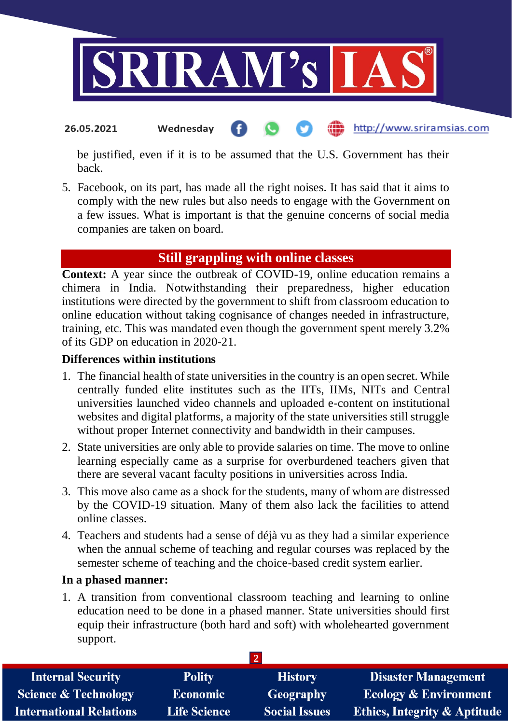

http://www.sriramsias.com **26.05.2021 Wednesday**

be justified, even if it is to be assumed that the U.S. Government has their back.

5. Facebook, on its part, has made all the right noises. It has said that it aims to comply with the new rules but also needs to engage with the Government on a few issues. What is important is that the genuine concerns of social media companies are taken on board.

## **Still grappling with online classes**

**Context:** A year since the outbreak of COVID-19, online education remains a chimera in India. Notwithstanding their preparedness, higher education institutions were directed by the government to shift from classroom education to online education without taking cognisance of changes needed in infrastructure, training, etc. This was mandated even though the government spent merely 3.2% of its GDP on education in 2020-21.

### **Differences within institutions**

- 1. The financial health of state universities in the country is an open secret. While centrally funded elite institutes such as the IITs, IIMs, NITs and Central universities launched video channels and uploaded e-content on institutional websites and digital platforms, a majority of the state universities still struggle without proper Internet connectivity and bandwidth in their campuses.
- 2. State universities are only able to provide salaries on time. The move to online learning especially came as a surprise for overburdened teachers given that there are several vacant faculty positions in universities across India.
- 3. This move also came as a shock for the students, many of whom are distressed by the COVID-19 situation. Many of them also lack the facilities to attend online classes.
- 4. Teachers and students had a sense of déjà vu as they had a similar experience when the annual scheme of teaching and regular courses was replaced by the semester scheme of teaching and the choice-based credit system earlier.

### **In a phased manner:**

1. A transition from conventional classroom teaching and learning to online education need to be done in a phased manner. State universities should first equip their infrastructure (both hard and soft) with wholehearted government support.

| <b>Internal Security</b>        | <b>Polity</b>       | <b>History</b>       | <b>Disaster Management</b>              |
|---------------------------------|---------------------|----------------------|-----------------------------------------|
| <b>Science &amp; Technology</b> | <b>Economic</b>     | Geography            | <b>Ecology &amp; Environment</b>        |
| <b>International Relations</b>  | <b>Life Science</b> | <b>Social Issues</b> | <b>Ethics, Integrity &amp; Aptitude</b> |
|                                 |                     |                      |                                         |